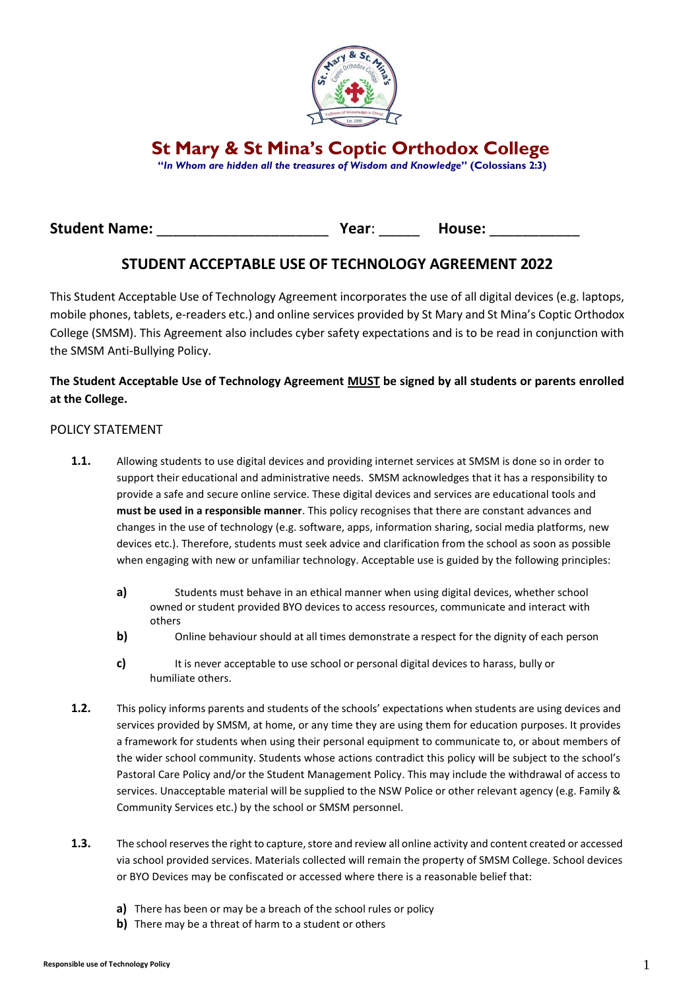

**St Mary & St Mina's Coptic Orthodox College**

**"***In Whom are hidden all the treasures of Wisdom and Knowledge***" (Colossians 2:3)**

# **Student Name:** \_\_\_\_\_\_\_\_\_\_\_\_\_\_\_\_\_\_\_\_\_ **Year**: \_\_\_\_\_ **House:** \_\_\_\_\_\_\_\_\_\_\_

# **STUDENT ACCEPTABLE USE OF TECHNOLOGY AGREEMENT 2022**

This Student Acceptable Use of Technology Agreement incorporates the use of all digital devices (e.g. laptops, mobile phones, tablets, e-readers etc.) and online services provided by St Mary and St Mina's Coptic Orthodox College (SMSM). This Agreement also includes cyber safety expectations and is to be read in conjunction with the SMSM Anti-Bullying Policy.

### **The Student Acceptable Use of Technology Agreement MUST be signed by all students or parents enrolled at the College.**

#### POLICY STATEMENT

- **1.1.** Allowing students to use digital devices and providing internet services at SMSM is done so in order to support their educational and administrative needs. SMSM acknowledges that it has a responsibility to provide a safe and secure online service. These digital devices and services are educational tools and **must be used in a responsible manner**. This policy recognises that there are constant advances and changes in the use of technology (e.g. software, apps, information sharing, social media platforms, new devices etc.). Therefore, students must seek advice and clarification from the school as soon as possible when engaging with new or unfamiliar technology. Acceptable use is guided by the following principles:
	- **a)** Students must behave in an ethical manner when using digital devices, whether school owned or student provided BYO devices to access resources, communicate and interact with others
	- **b)** Online behaviour should at all times demonstrate a respect for the dignity of each person
	- **c)** It is never acceptable to use school or personal digital devices to harass, bully or humiliate others.
- **1.2.** This policy informs parents and students of the schools' expectations when students are using devices and services provided by SMSM, at home, or any time they are using them for education purposes. It provides a framework for students when using their personal equipment to communicate to, or about members of the wider school community. Students whose actions contradict this policy will be subject to the school's Pastoral Care Policy and/or the Student Management Policy. This may include the withdrawal of access to services. Unacceptable material will be supplied to the NSW Police or other relevant agency (e.g. Family & Community Services etc.) by the school or SMSM personnel.
- **1.3.** The school reserves the right to capture, store and review all online activity and content created or accessed via school provided services. Materials collected will remain the property of SMSM College. School devices or BYO Devices may be confiscated or accessed where there is a reasonable belief that:
	- **a)** There has been or may be a breach of the school rules or policy
	- **b)** There may be a threat of harm to a student or others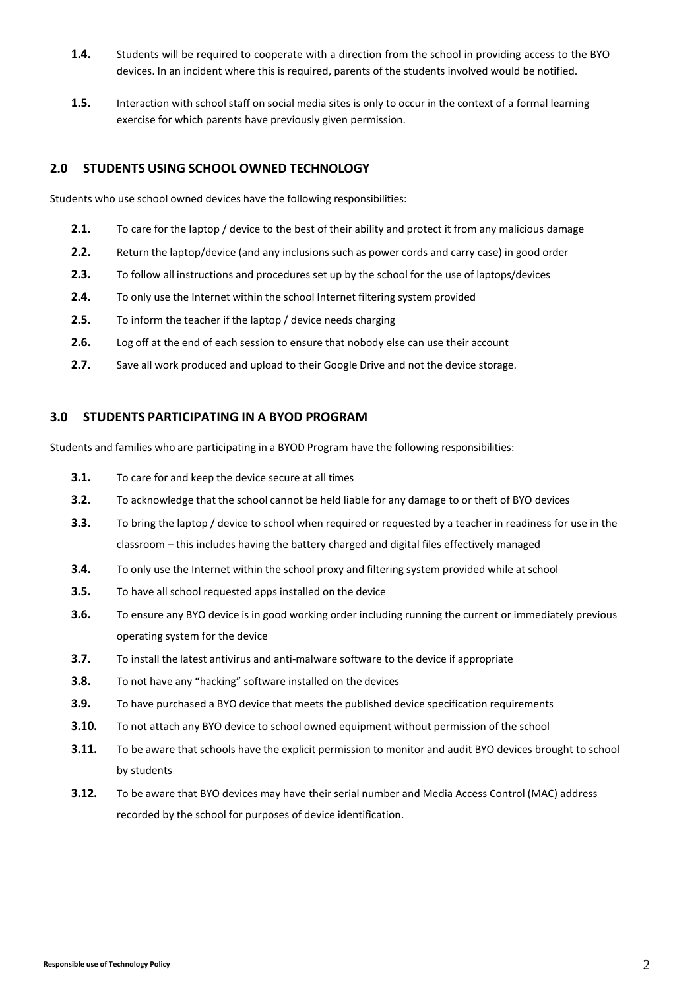- **1.4.** Students will be required to cooperate with a direction from the school in providing access to the BYO devices. In an incident where this is required, parents of the students involved would be notified.
- **1.5.** Interaction with school staff on social media sites is only to occur in the context of a formal learning exercise for which parents have previously given permission.

### **2.0 STUDENTS USING SCHOOL OWNED TECHNOLOGY**

Students who use school owned devices have the following responsibilities:

- **2.1.** To care for the laptop / device to the best of their ability and protect it from any malicious damage
- **2.2.** Return the laptop/device (and any inclusions such as power cords and carry case) in good order
- **2.3.** To follow all instructions and procedures set up by the school for the use of laptops/devices
- **2.4.** To only use the Internet within the school Internet filtering system provided
- **2.5.** To inform the teacher if the laptop / device needs charging
- **2.6.** Log off at the end of each session to ensure that nobody else can use their account
- **2.7.** Save all work produced and upload to their Google Drive and not the device storage.

#### **3.0 STUDENTS PARTICIPATING IN A BYOD PROGRAM**

Students and families who are participating in a BYOD Program have the following responsibilities:

- **3.1.** To care for and keep the device secure at all times
- **3.2.** To acknowledge that the school cannot be held liable for any damage to or theft of BYO devices
- **3.3.** To bring the laptop / device to school when required or requested by a teacher in readiness for use in the classroom – this includes having the battery charged and digital files effectively managed
- **3.4.** To only use the Internet within the school proxy and filtering system provided while at school
- **3.5.** To have all school requested apps installed on the device
- **3.6.** To ensure any BYO device is in good working order including running the current or immediately previous operating system for the device
- **3.7.** To install the latest antivirus and anti-malware software to the device if appropriate
- **3.8.** To not have any "hacking" software installed on the devices
- **3.9.** To have purchased a BYO device that meets the published device specification requirements
- **3.10.** To not attach any BYO device to school owned equipment without permission of the school
- **3.11.** To be aware that schools have the explicit permission to monitor and audit BYO devices brought to school by students
- **3.12.** To be aware that BYO devices may have their serial number and Media Access Control (MAC) address recorded by the school for purposes of device identification.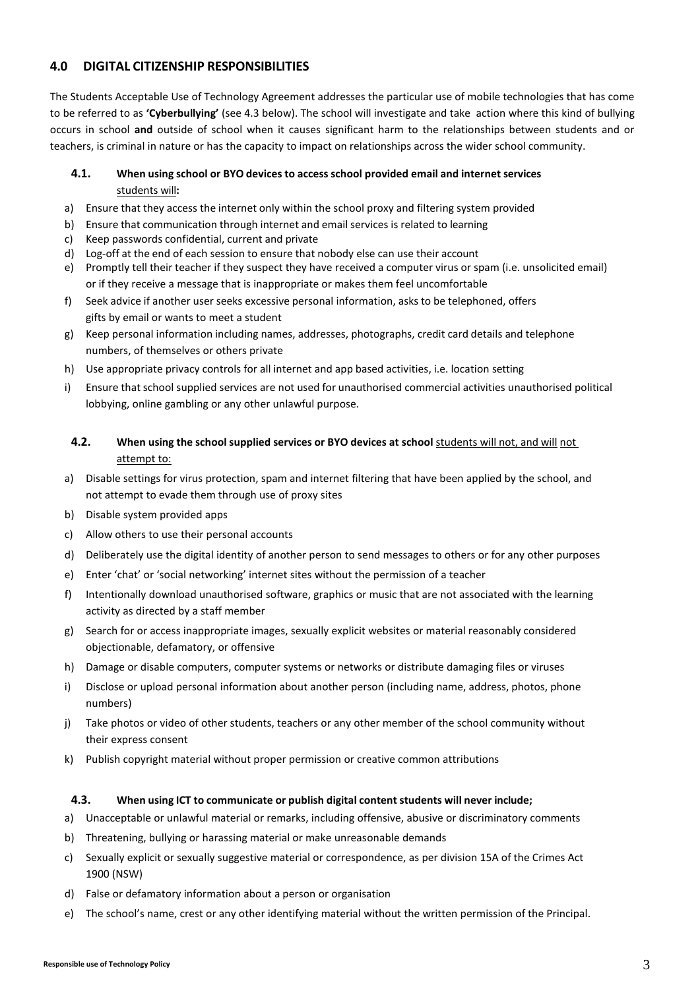### **4.0 DIGITAL CITIZENSHIP RESPONSIBILITIES**

The Students Acceptable Use of Technology Agreement addresses the particular use of mobile technologies that has come to be referred to as **'Cyberbullying'** (see 4.3 below). The school will investigate and take action where this kind of bullying occurs in school **and** outside of school when it causes significant harm to the relationships between students and or teachers, is criminal in nature or has the capacity to impact on relationships across the wider school community.

#### **4.1. When using school or BYO devices to access school provided email and internet services** students will**:**

- a) Ensure that they access the internet only within the school proxy and filtering system provided
- b) Ensure that communication through internet and email services is related to learning
- c) Keep passwords confidential, current and private
- d) Log-off at the end of each session to ensure that nobody else can use their account
- e) Promptly tell their teacher if they suspect they have received a computer virus or spam (i.e. unsolicited email) or if they receive a message that is inappropriate or makes them feel uncomfortable
- f) Seek advice if another user seeks excessive personal information, asks to be telephoned, offers gifts by email or wants to meet a student
- g) Keep personal information including names, addresses, photographs, credit card details and telephone numbers, of themselves or others private
- h) Use appropriate privacy controls for all internet and app based activities, i.e. location setting
- i) Ensure that school supplied services are not used for unauthorised commercial activities unauthorised political lobbying, online gambling or any other unlawful purpose.

### **4.2. When using the school supplied services or BYO devices at school** students will not, and will not attempt to:

- a) Disable settings for virus protection, spam and internet filtering that have been applied by the school, and not attempt to evade them through use of proxy sites
- b) Disable system provided apps
- c) Allow others to use their personal accounts
- d) Deliberately use the digital identity of another person to send messages to others or for any other purposes
- e) Enter 'chat' or 'social networking' internet sites without the permission of a teacher
- f) Intentionally download unauthorised software, graphics or music that are not associated with the learning activity as directed by a staff member
- g) Search for or access inappropriate images, sexually explicit websites or material reasonably considered objectionable, defamatory, or offensive
- h) Damage or disable computers, computer systems or networks or distribute damaging files or viruses
- i) Disclose or upload personal information about another person (including name, address, photos, phone numbers)
- j) Take photos or video of other students, teachers or any other member of the school community without their express consent
- k) Publish copyright material without proper permission or creative common attributions

#### **4.3. When using ICT to communicate or publish digital content students will never include;**

- a) Unacceptable or unlawful material or remarks, including offensive, abusive or discriminatory comments
- b) Threatening, bullying or harassing material or make unreasonable demands
- c) Sexually explicit or sexually suggestive material or correspondence, as per division 15A of the Crimes Act 1900 (NSW)
- d) False or defamatory information about a person or organisation
- e) The school's name, crest or any other identifying material without the written permission of the Principal.